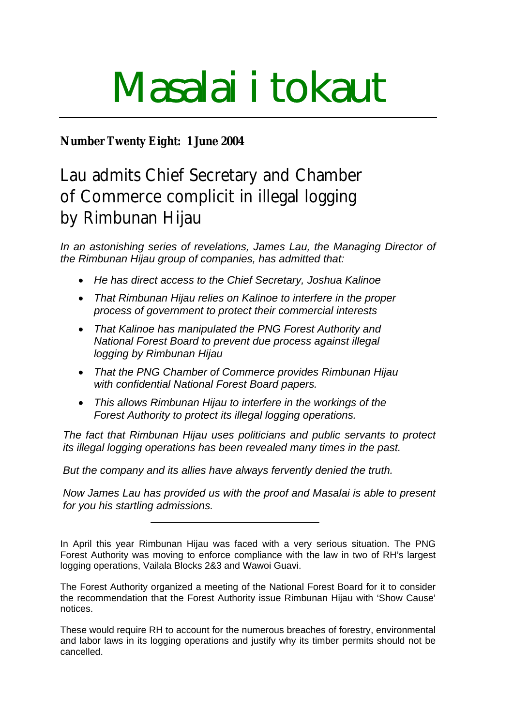# Masalai i tokaut

## **Number Twenty Eight: 1 June 2004**

Lau admits Chief Secretary and Chamber of Commerce complicit in illegal logging by Rimbunan Hijau

*In an astonishing series of revelations, James Lau, the Managing Director of the Rimbunan Hijau group of companies, has admitted that:*

- *He has direct access to the Chief Secretary, Joshua Kalinoe*
- *That Rimbunan Hijau relies on Kalinoe to interfere in the proper process of government to protect their commercial interests*
- *That Kalinoe has manipulated the PNG Forest Authority and National Forest Board to prevent due process against illegal logging by Rimbunan Hijau*
- *That the PNG Chamber of Commerce provides Rimbunan Hijau with confidential National Forest Board papers.*
- *This allows Rimbunan Hijau to interfere in the workings of the Forest Authority to protect its illegal logging operations.*

*The fact that Rimbunan Hijau uses politicians and public servants to protect its illegal logging operations has been revealed many times in the past.* 

*But the company and its allies have always fervently denied the truth.*

*Now James Lau has provided us with the proof and Masalai is able to present for you his startling admissions.*

In April this year Rimbunan Hijau was faced with a very serious situation. The PNG Forest Authority was moving to enforce compliance with the law in two of RH's largest logging operations, Vailala Blocks 2&3 and Wawoi Guavi.

The Forest Authority organized a meeting of the National Forest Board for it to consider the recommendation that the Forest Authority issue Rimbunan Hijau with 'Show Cause' notices.

These would require RH to account for the numerous breaches of forestry, environmental and labor laws in its logging operations and justify why its timber permits should not be cancelled.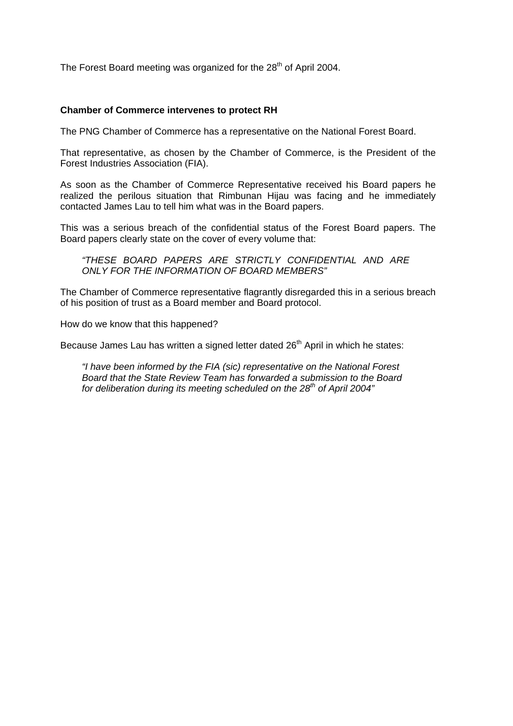The Forest Board meeting was organized for the 28<sup>th</sup> of April 2004.

#### **Chamber of Commerce intervenes to protect RH**

The PNG Chamber of Commerce has a representative on the National Forest Board.

That representative, as chosen by the Chamber of Commerce, is the President of the Forest Industries Association (FIA).

As soon as the Chamber of Commerce Representative received his Board papers he realized the perilous situation that Rimbunan Hijau was facing and he immediately contacted James Lau to tell him what was in the Board papers.

This was a serious breach of the confidential status of the Forest Board papers. The Board papers clearly state on the cover of every volume that:

*"THESE BOARD PAPERS ARE STRICTLY CONFIDENTIAL AND ARE ONLY FOR THE INFORMATION OF BOARD MEMBERS"*

The Chamber of Commerce representative flagrantly disregarded this in a serious breach of his position of trust as a Board member and Board protocol.

How do we know that this happened?

Because James Lau has written a signed letter dated 26<sup>th</sup> April in which he states:

*"I have been informed by the FIA (sic) representative on the National Forest Board that the State Review Team has forwarded a submission to the Board for deliberation during its meeting scheduled on the 28th of April 2004"*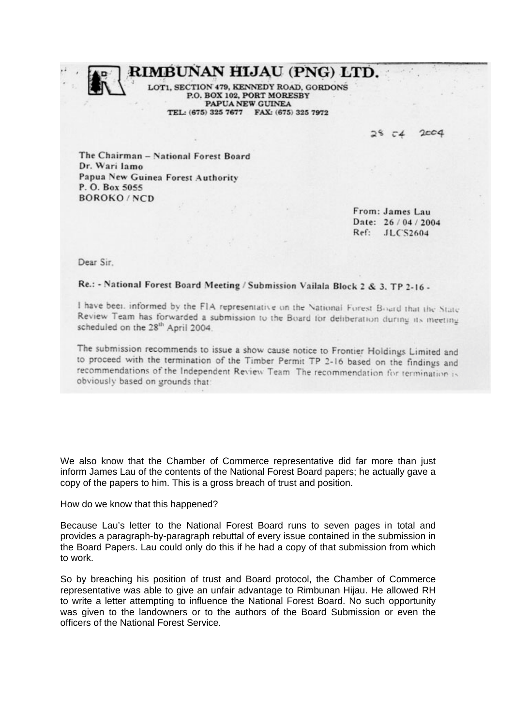RIMBUNAN HIJAU (PNG) LTD.

SECTION 479, KENNEDY ROAD, GORDONS P.O. BOX 102, PORT MORESBY PAPUA NEW GUINEA TEL: (675) 325 7677 FAX: (675) 325 7972

> $200d$  $-4$

The Chairman - National Forest Board Dr. Wari Jamo Papua New Guinea Forest Authority P. O. Box 5055 **BOROKO/NCD** 

> From: James Lau Date: 26/04/2004 Ref: JLC'S2604

Dear Sir.

### Re.: - National Forest Board Meeting / Submission Vailala Block 2 & 3. TP 2-16 -

I have been informed by the FIA representative on the National Forest Board that the State Review Team has forwarded a submission to the Board for deliberation during its meeting scheduled on the 28<sup>th</sup> April 2004.

The submission recommends to issue a show cause notice to Frontier Holdings Limited and to proceed with the termination of the Timber Permit TP 2-16 based on the findings and recommendations of the Independent Review Team The recommendation for termination is obviously based on grounds that:

We also know that the Chamber of Commerce representative did far more than just inform James Lau of the contents of the National Forest Board papers; he actually gave a copy of the papers to him. This is a gross breach of trust and position.

How do we know that this happened?

Because Lau's letter to the National Forest Board runs to seven pages in total and provides a paragraph-by-paragraph rebuttal of every issue contained in the submission in the Board Papers. Lau could only do this if he had a copy of that submission from which to work.

So by breaching his position of trust and Board protocol, the Chamber of Commerce representative was able to give an unfair advantage to Rimbunan Hijau. He allowed RH to write a letter attempting to influence the National Forest Board. No such opportunity was given to the landowners or to the authors of the Board Submission or even the officers of the National Forest Service.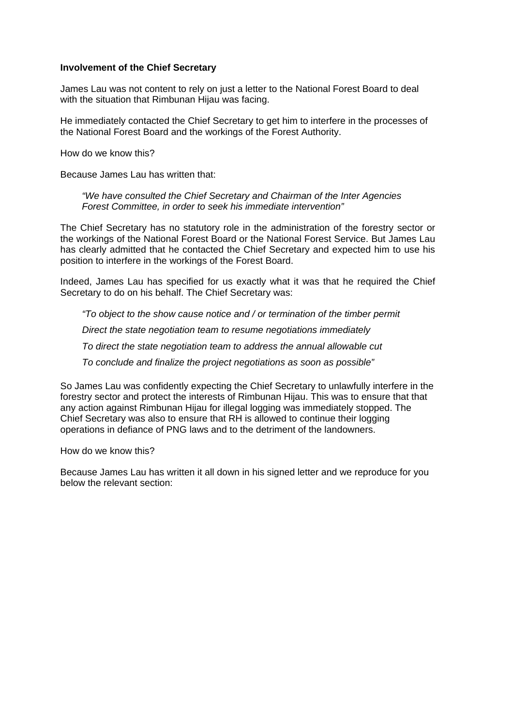#### **Involvement of the Chief Secretary**

James Lau was not content to rely on just a letter to the National Forest Board to deal with the situation that Rimbunan Hijau was facing.

He immediately contacted the Chief Secretary to get him to interfere in the processes of the National Forest Board and the workings of the Forest Authority.

How do we know this?

Because James Lau has written that:

*"We have consulted the Chief Secretary and Chairman of the Inter Agencies Forest Committee, in order to seek his immediate intervention"* 

The Chief Secretary has no statutory role in the administration of the forestry sector or the workings of the National Forest Board or the National Forest Service. But James Lau has clearly admitted that he contacted the Chief Secretary and expected him to use his position to interfere in the workings of the Forest Board.

Indeed, James Lau has specified for us exactly what it was that he required the Chief Secretary to do on his behalf. The Chief Secretary was:

*"To object to the show cause notice and / or termination of the timber permit Direct the state negotiation team to resume negotiations immediately To direct the state negotiation team to address the annual allowable cut To conclude and finalize the project negotiations as soon as possible"*

So James Lau was confidently expecting the Chief Secretary to unlawfully interfere in the forestry sector and protect the interests of Rimbunan Hijau. This was to ensure that that any action against Rimbunan Hijau for illegal logging was immediately stopped. The Chief Secretary was also to ensure that RH is allowed to continue their logging operations in defiance of PNG laws and to the detriment of the landowners.

How do we know this?

Because James Lau has written it all down in his signed letter and we reproduce for you below the relevant section: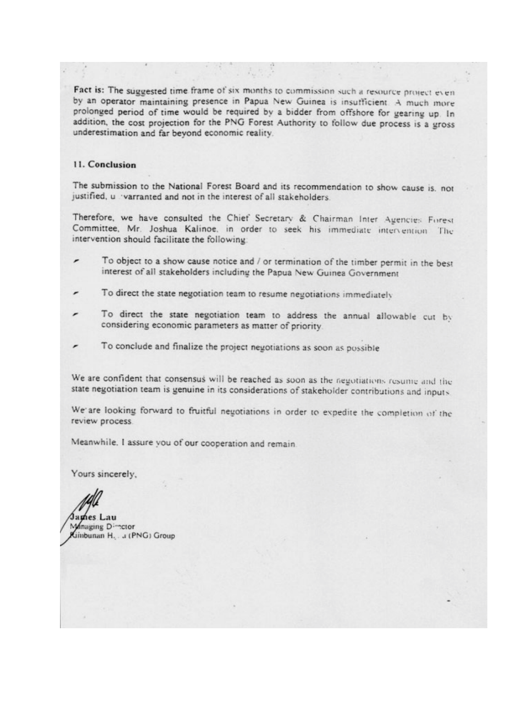Fact is: The suggested time frame of six months to commission such a resource project even by an operator maintaining presence in Papua New Guinea is insufficient. A much more prolonged period of time would be required by a bidder from offshore for gearing up. In addition, the cost projection for the PNG Forest Authority to follow due process is a gross underestimation and far beyond economic reality.

#### 11. Conclusion

The submission to the National Forest Board and its recommendation to show cause is, not justified, u varranted and not in the interest of all stakeholders.

Therefore, we have consulted the Chief Secretary & Chairman Inter Agencies Forest Committee, Mr. Joshua Kalinoe, in order to seek his immediate intervention. The intervention should facilitate the following:

- To object to a show cause notice and / or termination of the timber permit in the best interest of all stakeholders including the Papua New Guinea Government
- To direct the state negotiation team to resume negotiations immediately
- To direct the state negotiation team to address the annual allowable cut by considering economic parameters as matter of priority.
- To conclude and finalize the project negotiations as soon as possible

We are confident that consensus will be reached as soon as the negotiations resume and the state negotiation team is genuine in its considerations of stakeholder contributions and inputs.

We are looking forward to fruitful negotiations in order to expedite the completion of the review process.

Meanwhile. I assure you of our cooperation and remain.

Yours sincerely,

ames Lau Managing Dimetor Jinbunan H. . J (PNG) Group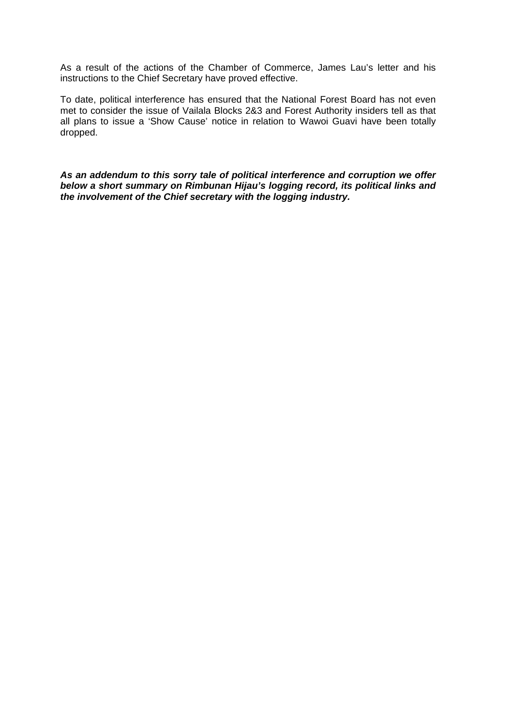As a result of the actions of the Chamber of Commerce, James Lau's letter and his instructions to the Chief Secretary have proved effective.

To date, political [in](#page-5-0)terference has ensured that the National Forest Board has not even met to consider the issue of Vailala Bloc[ks](#page-5-1) 2&3 and Forest Authority insiders tell as that all plans to issue a 'Show Cause' notice in relation to Wawoi Guavi have been tota[lly](#page-5-2) dropped.

<span id="page-5-2"></span><span id="page-5-1"></span><span id="page-5-0"></span>*As an addendum to this sorry tale of political interference and corruption we offer below a short summary on Rimbunan Hijau's logging record, its political links and the involvement of the Chief secretary with the logging industry.*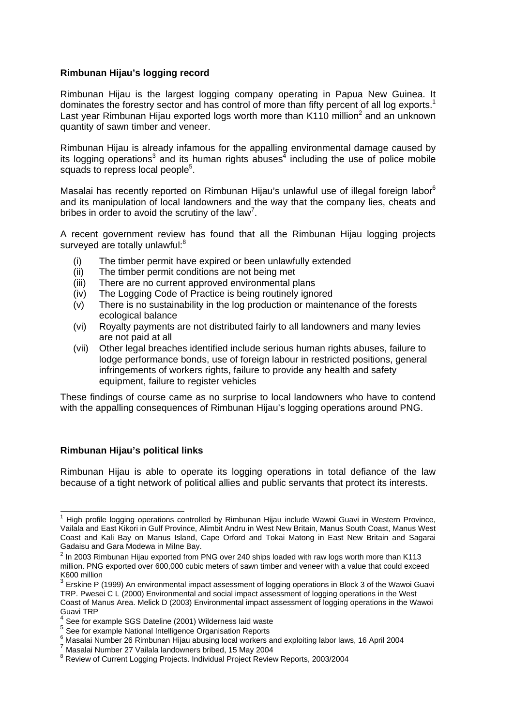#### **Rimbunan Hijau's logging record**

Rimbunan Hijau is the largest logging company operating in Papua New Guinea. It dominates the forestry sector and has control of more than fifty percent of all log exports.<sup>1</sup> Last year Rimbunan Hijau exported logs worth more than K110 million<sup>2</sup> and an unknown quantity of sawn timber and veneer.

Rimbunan Hijau is already infamous for the appalling environmental damage caused by its logging operations<sup>3</sup> and its human rights abuses<sup>4</sup> including the use of police mobile squads to repress local people<sup>5</sup>.

Masalai has recently reported on Rimbunan Hijau's unlawful use of illegal foreign labor<sup>6</sup> and its manipulation of local landowners and the way that the company lies, cheats and bribes in order to avoid the scrutiny of the law<sup>7</sup>.

A recent government review has found that all the Rimbunan Hijau logging projects surveyed are totally unlawful:<sup>8</sup>

- (i) The timber permit have expired or been unlawfully extended
- (ii) The timber permit conditions are not being met
- (iii) There are no current approved environmental plans
- (iv) The Logging Code of Practice is being routinely ignored
- (v) There is no sustainability in the log production or maintenance of the forests ecological balance
- (vi) Royalty payments are not distributed fairly to all landowners and many levies are not paid at all
- (vii) Other legal breaches identified include serious human rights abuses, failure to lodge performance bonds, use of foreign labour in restricted positions, general infringements of workers rights, failure to provide any health and safety equipment, failure to register vehicles

These findings of course came as no surprise to local landowners who have to contend with the appalling consequences of Rimbunan Hijau's logging operations around PNG.

#### **Rimbunan Hijau's political links**

 $\overline{a}$ 

Rimbunan Hijau is able to operate its logging operations in total defiance of the law because of a tight network of political allies and public servants that protect its interests.

<sup>1</sup> High profile logging operations controlled by Rimbunan Hijau include Wawoi Guavi in Western Province, Vailala and East Kikori in Gulf Province, Alimbit Andru in West New Britain, Manus South Coast, Manus West Coast and Kali Bay on Manus Island, Cape Orford and Tokai Matong in East New Britain and Sagarai Gadaisu and Gara Modewa in Milne Bay.

 $^{2}$  In 2003 Rimbunan Hijau exported from PNG over 240 ships loaded with raw logs worth more than K113 million. PNG exported over 600,000 cubic meters of sawn timber and veneer with a value that could exceed K600 million

 $^3$  Erskine P (1999) An environmental impact assessment of logging operations in Block 3 of the Wawoi Guavi TRP. Pwesei C L (2000) Environmental and social impact assessment of logging operations in the West Coast of Manus Area. Melick D (2003) Environmental impact assessment of logging operations in the Wawoi Guavi TRP

 $4$  See for example SGS Dateline (2001) Wilderness laid waste  $5$  See for example National Intelligence Organisation Reports

 $^6$  Masalai Number 26 Rimbunan Hijau abusing local workers and exploiting labor laws, 16 April 2004<br>7 Masalai Number 27 Vailala landowners bribed, 15 May 2004

<sup>&</sup>lt;sup>8</sup> Review of Current Logging Projects. Individual Project Review Reports, 2003/2004